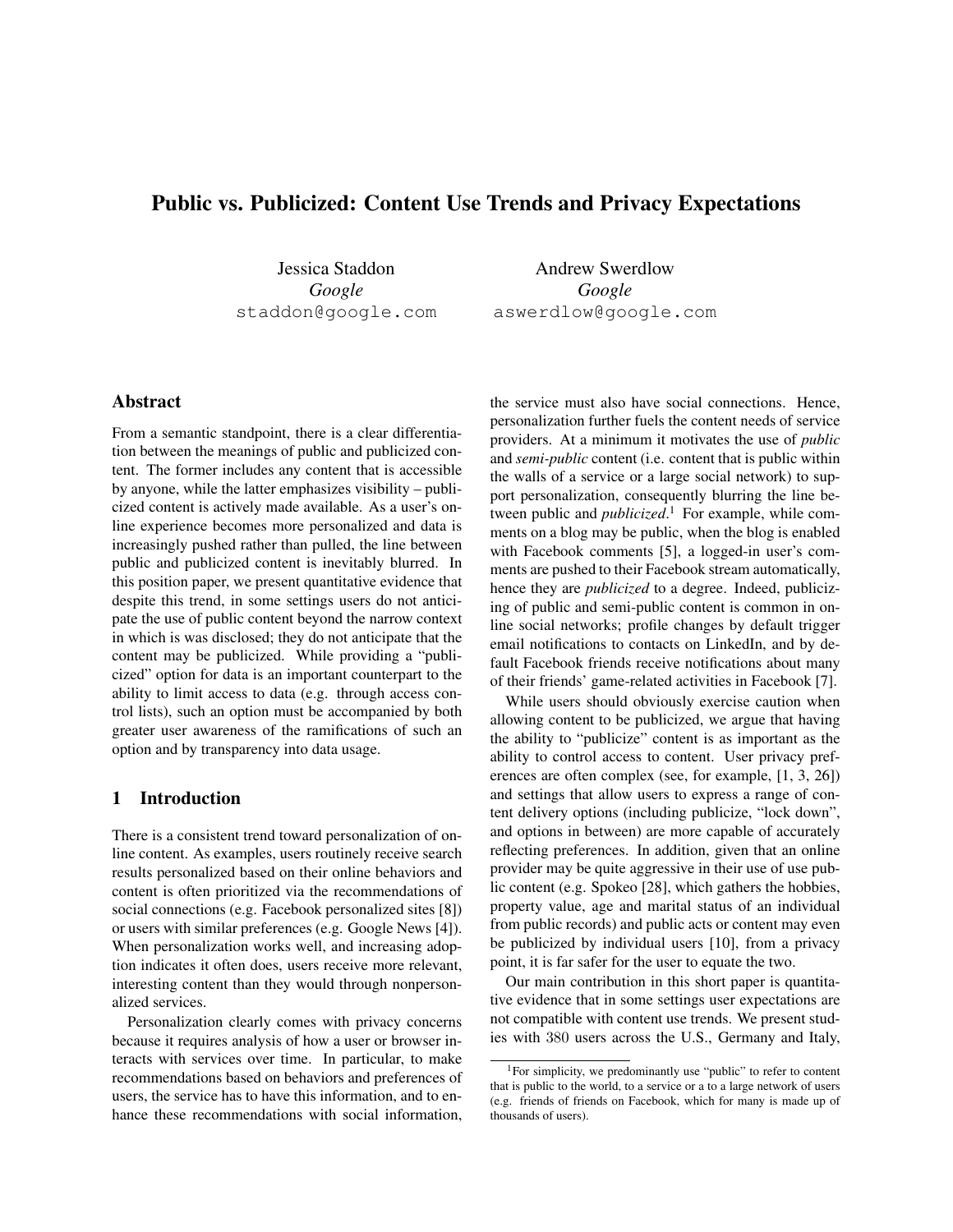# Public vs. Publicized: Content Use Trends and Privacy Expectations

Jessica Staddon *Google* staddon@google.com

Andrew Swerdlow *Google* aswerdlow@google.com

# Abstract

From a semantic standpoint, there is a clear differentiation between the meanings of public and publicized content. The former includes any content that is accessible by anyone, while the latter emphasizes visibility – publicized content is actively made available. As a user's online experience becomes more personalized and data is increasingly pushed rather than pulled, the line between public and publicized content is inevitably blurred. In this position paper, we present quantitative evidence that despite this trend, in some settings users do not anticipate the use of public content beyond the narrow context in which is was disclosed; they do not anticipate that the content may be publicized. While providing a "publicized" option for data is an important counterpart to the ability to limit access to data (e.g. through access control lists), such an option must be accompanied by both greater user awareness of the ramifications of such an option and by transparency into data usage.

## 1 Introduction

There is a consistent trend toward personalization of online content. As examples, users routinely receive search results personalized based on their online behaviors and content is often prioritized via the recommendations of social connections (e.g. Facebook personalized sites [8]) or users with similar preferences (e.g. Google News [4]). When personalization works well, and increasing adoption indicates it often does, users receive more relevant, interesting content than they would through nonpersonalized services.

Personalization clearly comes with privacy concerns because it requires analysis of how a user or browser interacts with services over time. In particular, to make recommendations based on behaviors and preferences of users, the service has to have this information, and to enhance these recommendations with social information, the service must also have social connections. Hence, personalization further fuels the content needs of service providers. At a minimum it motivates the use of *public* and *semi-public* content (i.e. content that is public within the walls of a service or a large social network) to support personalization, consequently blurring the line between public and *publicized*. <sup>1</sup> For example, while comments on a blog may be public, when the blog is enabled with Facebook comments [5], a logged-in user's comments are pushed to their Facebook stream automatically, hence they are *publicized* to a degree. Indeed, publicizing of public and semi-public content is common in online social networks; profile changes by default trigger email notifications to contacts on LinkedIn, and by default Facebook friends receive notifications about many of their friends' game-related activities in Facebook [7].

While users should obviously exercise caution when allowing content to be publicized, we argue that having the ability to "publicize" content is as important as the ability to control access to content. User privacy preferences are often complex (see, for example, [1, 3, 26]) and settings that allow users to express a range of content delivery options (including publicize, "lock down", and options in between) are more capable of accurately reflecting preferences. In addition, given that an online provider may be quite aggressive in their use of use public content (e.g. Spokeo [28], which gathers the hobbies, property value, age and marital status of an individual from public records) and public acts or content may even be publicized by individual users [10], from a privacy point, it is far safer for the user to equate the two.

Our main contribution in this short paper is quantitative evidence that in some settings user expectations are not compatible with content use trends. We present studies with 380 users across the U.S., Germany and Italy,

<sup>&</sup>lt;sup>1</sup>For simplicity, we predominantly use "public" to refer to content that is public to the world, to a service or a to a large network of users (e.g. friends of friends on Facebook, which for many is made up of thousands of users).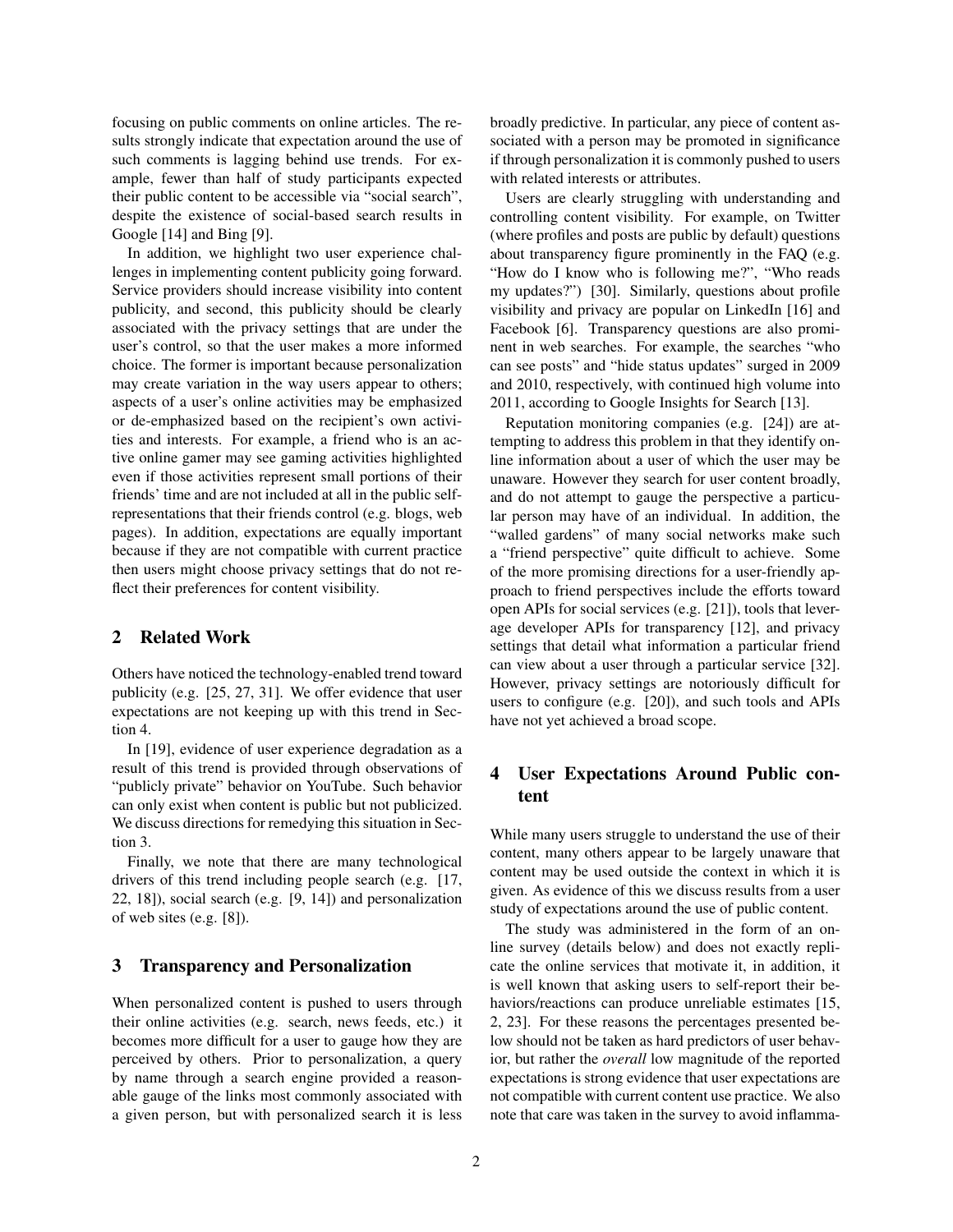focusing on public comments on online articles. The results strongly indicate that expectation around the use of such comments is lagging behind use trends. For example, fewer than half of study participants expected their public content to be accessible via "social search", despite the existence of social-based search results in Google [14] and Bing [9].

In addition, we highlight two user experience challenges in implementing content publicity going forward. Service providers should increase visibility into content publicity, and second, this publicity should be clearly associated with the privacy settings that are under the user's control, so that the user makes a more informed choice. The former is important because personalization may create variation in the way users appear to others; aspects of a user's online activities may be emphasized or de-emphasized based on the recipient's own activities and interests. For example, a friend who is an active online gamer may see gaming activities highlighted even if those activities represent small portions of their friends' time and are not included at all in the public selfrepresentations that their friends control (e.g. blogs, web pages). In addition, expectations are equally important because if they are not compatible with current practice then users might choose privacy settings that do not reflect their preferences for content visibility.

#### 2 Related Work

Others have noticed the technology-enabled trend toward publicity (e.g. [25, 27, 31]. We offer evidence that user expectations are not keeping up with this trend in Section 4.

In [19], evidence of user experience degradation as a result of this trend is provided through observations of "publicly private" behavior on YouTube. Such behavior can only exist when content is public but not publicized. We discuss directions for remedying this situation in Section 3.

Finally, we note that there are many technological drivers of this trend including people search (e.g. [17, 22, 18]), social search (e.g. [9, 14]) and personalization of web sites (e.g. [8]).

### 3 Transparency and Personalization

When personalized content is pushed to users through their online activities (e.g. search, news feeds, etc.) it becomes more difficult for a user to gauge how they are perceived by others. Prior to personalization, a query by name through a search engine provided a reasonable gauge of the links most commonly associated with a given person, but with personalized search it is less broadly predictive. In particular, any piece of content associated with a person may be promoted in significance if through personalization it is commonly pushed to users with related interests or attributes.

Users are clearly struggling with understanding and controlling content visibility. For example, on Twitter (where profiles and posts are public by default) questions about transparency figure prominently in the FAQ (e.g. "How do I know who is following me?", "Who reads my updates?") [30]. Similarly, questions about profile visibility and privacy are popular on LinkedIn [16] and Facebook [6]. Transparency questions are also prominent in web searches. For example, the searches "who can see posts" and "hide status updates" surged in 2009 and 2010, respectively, with continued high volume into 2011, according to Google Insights for Search [13].

Reputation monitoring companies (e.g. [24]) are attempting to address this problem in that they identify online information about a user of which the user may be unaware. However they search for user content broadly, and do not attempt to gauge the perspective a particular person may have of an individual. In addition, the "walled gardens" of many social networks make such a "friend perspective" quite difficult to achieve. Some of the more promising directions for a user-friendly approach to friend perspectives include the efforts toward open APIs for social services (e.g. [21]), tools that leverage developer APIs for transparency [12], and privacy settings that detail what information a particular friend can view about a user through a particular service [32]. However, privacy settings are notoriously difficult for users to configure (e.g. [20]), and such tools and APIs have not yet achieved a broad scope.

## 4 User Expectations Around Public content

While many users struggle to understand the use of their content, many others appear to be largely unaware that content may be used outside the context in which it is given. As evidence of this we discuss results from a user study of expectations around the use of public content.

The study was administered in the form of an online survey (details below) and does not exactly replicate the online services that motivate it, in addition, it is well known that asking users to self-report their behaviors/reactions can produce unreliable estimates [15, 2, 23]. For these reasons the percentages presented below should not be taken as hard predictors of user behavior, but rather the *overall* low magnitude of the reported expectations is strong evidence that user expectations are not compatible with current content use practice. We also note that care was taken in the survey to avoid inflamma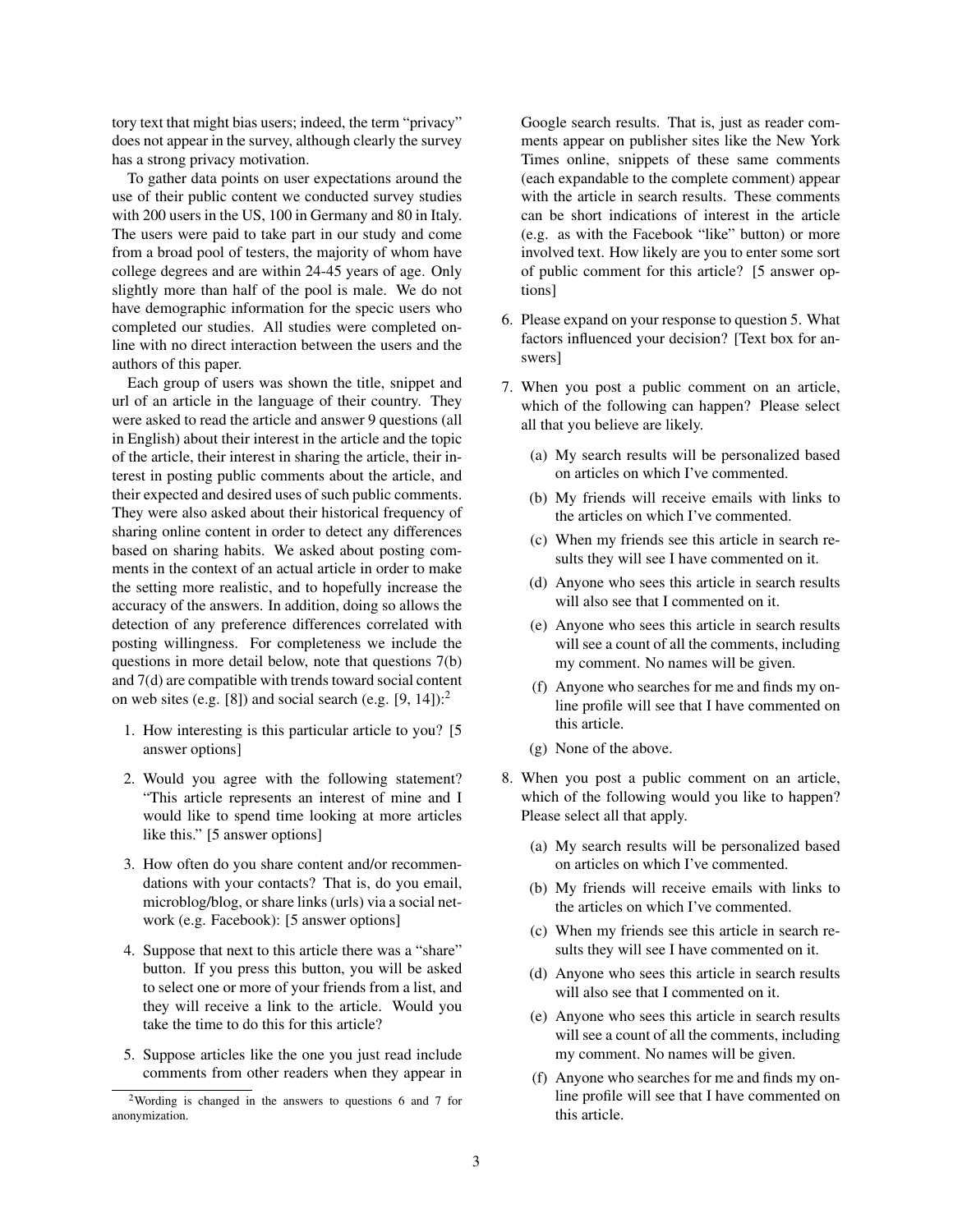tory text that might bias users; indeed, the term "privacy" does not appear in the survey, although clearly the survey has a strong privacy motivation.

To gather data points on user expectations around the use of their public content we conducted survey studies with 200 users in the US, 100 in Germany and 80 in Italy. The users were paid to take part in our study and come from a broad pool of testers, the majority of whom have college degrees and are within 24-45 years of age. Only slightly more than half of the pool is male. We do not have demographic information for the specic users who completed our studies. All studies were completed online with no direct interaction between the users and the authors of this paper.

Each group of users was shown the title, snippet and url of an article in the language of their country. They were asked to read the article and answer 9 questions (all in English) about their interest in the article and the topic of the article, their interest in sharing the article, their interest in posting public comments about the article, and their expected and desired uses of such public comments. They were also asked about their historical frequency of sharing online content in order to detect any differences based on sharing habits. We asked about posting comments in the context of an actual article in order to make the setting more realistic, and to hopefully increase the accuracy of the answers. In addition, doing so allows the detection of any preference differences correlated with posting willingness. For completeness we include the questions in more detail below, note that questions 7(b) and 7(d) are compatible with trends toward social content on web sites (e.g. [8]) and social search (e.g.  $[9, 14]$ ):<sup>2</sup>

- 1. How interesting is this particular article to you? [5 answer options]
- 2. Would you agree with the following statement? "This article represents an interest of mine and I would like to spend time looking at more articles like this." [5 answer options]
- 3. How often do you share content and/or recommendations with your contacts? That is, do you email, microblog/blog, or share links (urls) via a social network (e.g. Facebook): [5 answer options]
- 4. Suppose that next to this article there was a "share" button. If you press this button, you will be asked to select one or more of your friends from a list, and they will receive a link to the article. Would you take the time to do this for this article?
- 5. Suppose articles like the one you just read include comments from other readers when they appear in

Google search results. That is, just as reader comments appear on publisher sites like the New York Times online, snippets of these same comments (each expandable to the complete comment) appear with the article in search results. These comments can be short indications of interest in the article (e.g. as with the Facebook "like" button) or more involved text. How likely are you to enter some sort of public comment for this article? [5 answer options]

- 6. Please expand on your response to question 5. What factors influenced your decision? [Text box for answers]
- 7. When you post a public comment on an article, which of the following can happen? Please select all that you believe are likely.
	- (a) My search results will be personalized based on articles on which I've commented.
	- (b) My friends will receive emails with links to the articles on which I've commented.
	- (c) When my friends see this article in search results they will see I have commented on it.
	- (d) Anyone who sees this article in search results will also see that I commented on it.
	- (e) Anyone who sees this article in search results will see a count of all the comments, including my comment. No names will be given.
	- (f) Anyone who searches for me and finds my online profile will see that I have commented on this article.
	- (g) None of the above.
- 8. When you post a public comment on an article, which of the following would you like to happen? Please select all that apply.
	- (a) My search results will be personalized based on articles on which I've commented.
	- (b) My friends will receive emails with links to the articles on which I've commented.
	- (c) When my friends see this article in search results they will see I have commented on it.
	- (d) Anyone who sees this article in search results will also see that I commented on it.
	- (e) Anyone who sees this article in search results will see a count of all the comments, including my comment. No names will be given.
	- (f) Anyone who searches for me and finds my online profile will see that I have commented on this article.

<sup>2</sup>Wording is changed in the answers to questions 6 and 7 for anonymization.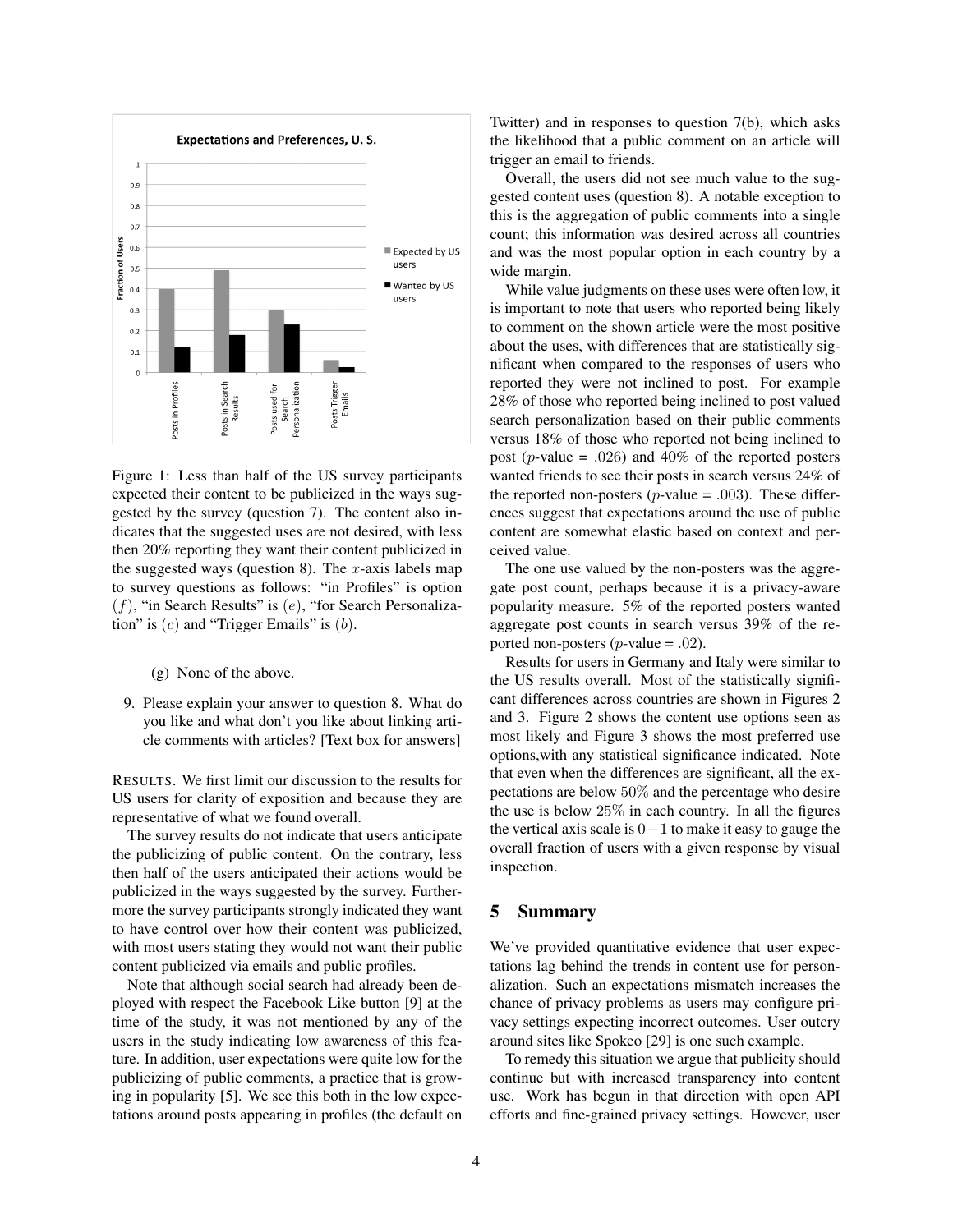

Figure 1: Less than half of the US survey participants expected their content to be publicized in the ways suggested by the survey (question 7). The content also indicates that the suggested uses are not desired, with less then 20% reporting they want their content publicized in the suggested ways (question 8). The *x*-axis labels map to survey questions as follows: "in Profiles" is option (*f*), "in Search Results" is (*e*), "for Search Personalization" is (*c*) and "Trigger Emails" is (*b*).

(g) None of the above.

9. Please explain your answer to question 8. What do you like and what don't you like about linking article comments with articles? [Text box for answers]

RESULTS. We first limit our discussion to the results for US users for clarity of exposition and because they are representative of what we found overall.

The survey results do not indicate that users anticipate the publicizing of public content. On the contrary, less then half of the users anticipated their actions would be publicized in the ways suggested by the survey. Furthermore the survey participants strongly indicated they want to have control over how their content was publicized, with most users stating they would not want their public content publicized via emails and public profiles.

Note that although social search had already been deployed with respect the Facebook Like button [9] at the time of the study, it was not mentioned by any of the users in the study indicating low awareness of this feature. In addition, user expectations were quite low for the publicizing of public comments, a practice that is growing in popularity [5]. We see this both in the low expectations around posts appearing in profiles (the default on Twitter) and in responses to question 7(b), which asks the likelihood that a public comment on an article will trigger an email to friends.

Overall, the users did not see much value to the suggested content uses (question 8). A notable exception to this is the aggregation of public comments into a single count; this information was desired across all countries and was the most popular option in each country by a wide margin.

While value judgments on these uses were often low, it is important to note that users who reported being likely to comment on the shown article were the most positive about the uses, with differences that are statistically significant when compared to the responses of users who reported they were not inclined to post. For example 28% of those who reported being inclined to post valued search personalization based on their public comments versus 18% of those who reported not being inclined to post (*p*-value = *.*026) and 40% of the reported posters wanted friends to see their posts in search versus 24% of the reported non-posters ( $p$ -value = .003). These differences suggest that expectations around the use of public content are somewhat elastic based on context and perceived value.

The one use valued by the non-posters was the aggregate post count, perhaps because it is a privacy-aware popularity measure. 5% of the reported posters wanted aggregate post counts in search versus 39% of the reported non-posters (*p*-value = *.*02).

Results for users in Germany and Italy were similar to the US results overall. Most of the statistically significant differences across countries are shown in Figures 2 and 3. Figure 2 shows the content use options seen as most likely and Figure 3 shows the most preferred use options,with any statistical significance indicated. Note that even when the differences are significant, all the expectations are below 50% and the percentage who desire the use is below 25% in each country. In all the figures the vertical axis scale is 0*−*1 to make it easy to gauge the overall fraction of users with a given response by visual inspection.

### 5 Summary

We've provided quantitative evidence that user expectations lag behind the trends in content use for personalization. Such an expectations mismatch increases the chance of privacy problems as users may configure privacy settings expecting incorrect outcomes. User outcry around sites like Spokeo [29] is one such example.

To remedy this situation we argue that publicity should continue but with increased transparency into content use. Work has begun in that direction with open API efforts and fine-grained privacy settings. However, user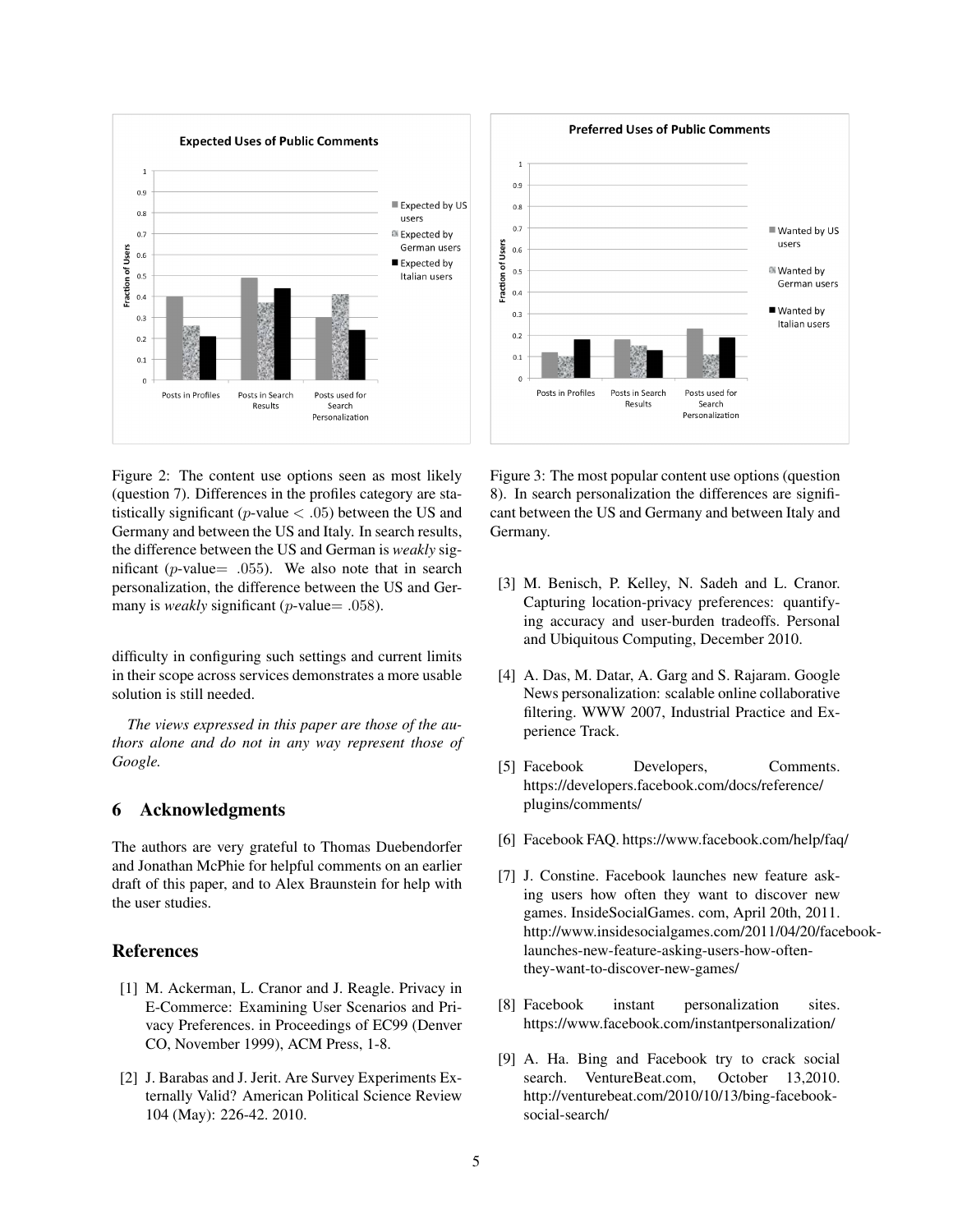

Figure 2: The content use options seen as most likely (question 7). Differences in the profiles category are statistically significant (*p*-value *< .*05) between the US and Germany and between the US and Italy. In search results, the difference between the US and German is *weakly* significant (*p*-value= *.*055). We also note that in search personalization, the difference between the US and Germany is *weakly* significant (*p*-value= .058).

difficulty in configuring such settings and current limits in their scope across services demonstrates a more usable solution is still needed.

*The views expressed in this paper are those of the authors alone and do not in any way represent those of Google.*

#### 6 Acknowledgments

The authors are very grateful to Thomas Duebendorfer and Jonathan McPhie for helpful comments on an earlier draft of this paper, and to Alex Braunstein for help with the user studies.

### References

- [1] M. Ackerman, L. Cranor and J. Reagle. Privacy in E-Commerce: Examining User Scenarios and Privacy Preferences. in Proceedings of EC99 (Denver CO, November 1999), ACM Press, 1-8.
- [2] J. Barabas and J. Jerit. Are Survey Experiments Externally Valid? American Political Science Review 104 (May): 226-42. 2010.



Figure 3: The most popular content use options (question 8). In search personalization the differences are significant between the US and Germany and between Italy and Germany.

- [3] M. Benisch, P. Kelley, N. Sadeh and L. Cranor. Capturing location-privacy preferences: quantifying accuracy and user-burden tradeoffs. Personal and Ubiquitous Computing, December 2010.
- [4] A. Das, M. Datar, A. Garg and S. Rajaram. Google News personalization: scalable online collaborative filtering. WWW 2007, Industrial Practice and Experience Track.
- [5] Facebook Developers, Comments. https://developers.facebook.com/docs/reference/ plugins/comments/
- [6] Facebook FAQ. https://www.facebook.com/help/faq/
- [7] J. Constine. Facebook launches new feature asking users how often they want to discover new games. InsideSocialGames. com, April 20th, 2011. http://www.insidesocialgames.com/2011/04/20/facebooklaunches-new-feature-asking-users-how-oftenthey-want-to-discover-new-games/
- [8] Facebook instant personalization sites. https://www.facebook.com/instantpersonalization/
- [9] A. Ha. Bing and Facebook try to crack social search. VentureBeat.com, October 13,2010. http://venturebeat.com/2010/10/13/bing-facebooksocial-search/